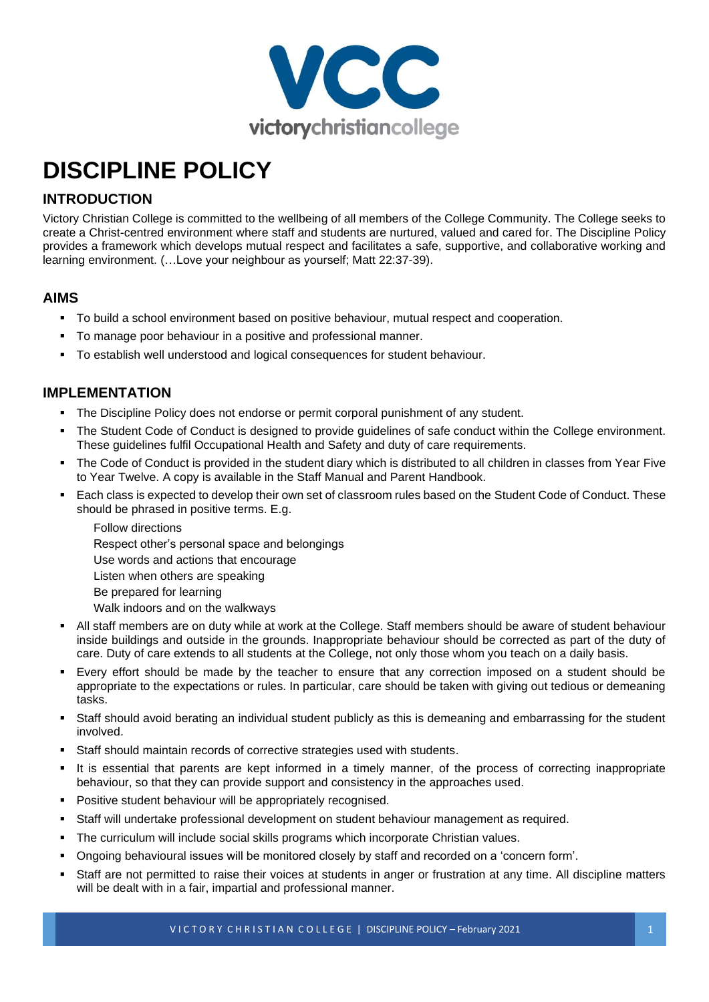

# **DISCIPLINE POLICY**

# **INTRODUCTION**

Victory Christian College is committed to the wellbeing of all members of the College Community. The College seeks to create a Christ-centred environment where staff and students are nurtured, valued and cared for. The Discipline Policy provides a framework which develops mutual respect and facilitates a safe, supportive, and collaborative working and learning environment. (…Love your neighbour as yourself; Matt 22:37-39).

## **AIMS**

- To build a school environment based on positive behaviour, mutual respect and cooperation.
- To manage poor behaviour in a positive and professional manner.
- To establish well understood and logical consequences for student behaviour.

## **IMPLEMENTATION**

- The Discipline Policy does not endorse or permit corporal punishment of any student.
- The Student Code of Conduct is designed to provide guidelines of safe conduct within the College environment. These guidelines fulfil Occupational Health and Safety and duty of care requirements.
- The Code of Conduct is provided in the student diary which is distributed to all children in classes from Year Five to Year Twelve. A copy is available in the Staff Manual and Parent Handbook.
- Each class is expected to develop their own set of classroom rules based on the Student Code of Conduct. These should be phrased in positive terms. E.g.
	- Follow directions Respect other's personal space and belongings Use words and actions that encourage Listen when others are speaking Be prepared for learning Walk indoors and on the walkways
- All staff members are on duty while at work at the College. Staff members should be aware of student behaviour inside buildings and outside in the grounds. Inappropriate behaviour should be corrected as part of the duty of care. Duty of care extends to all students at the College, not only those whom you teach on a daily basis.
- Every effort should be made by the teacher to ensure that any correction imposed on a student should be appropriate to the expectations or rules. In particular, care should be taken with giving out tedious or demeaning tasks.
- Staff should avoid berating an individual student publicly as this is demeaning and embarrassing for the student involved.
- Staff should maintain records of corrective strategies used with students.
- It is essential that parents are kept informed in a timely manner, of the process of correcting inappropriate behaviour, so that they can provide support and consistency in the approaches used.
- Positive student behaviour will be appropriately recognised.
- Staff will undertake professional development on student behaviour management as required.
- **The curriculum will include social skills programs which incorporate Christian values.**
- Ongoing behavioural issues will be monitored closely by staff and recorded on a 'concern form'.
- Staff are not permitted to raise their voices at students in anger or frustration at any time. All discipline matters will be dealt with in a fair, impartial and professional manner.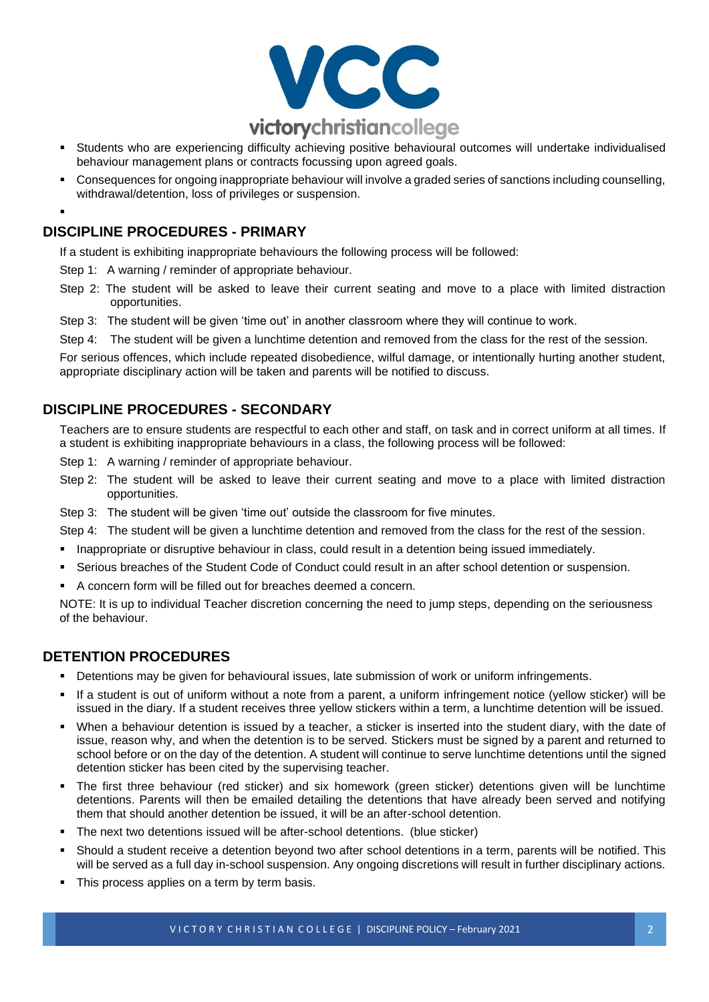

- Students who are experiencing difficulty achieving positive behavioural outcomes will undertake individualised behaviour management plans or contracts focussing upon agreed goals.
- Consequences for ongoing inappropriate behaviour will involve a graded series of sanctions including counselling, withdrawal/detention, loss of privileges or suspension.
- ▪

## **DISCIPLINE PROCEDURES - PRIMARY**

If a student is exhibiting inappropriate behaviours the following process will be followed:

- Step 1: A warning / reminder of appropriate behaviour.
- Step 2: The student will be asked to leave their current seating and move to a place with limited distraction opportunities.
- Step 3: The student will be given 'time out' in another classroom where they will continue to work.
- Step 4: The student will be given a lunchtime detention and removed from the class for the rest of the session.

For serious offences, which include repeated disobedience, wilful damage, or intentionally hurting another student, appropriate disciplinary action will be taken and parents will be notified to discuss.

## **DISCIPLINE PROCEDURES - SECONDARY**

Teachers are to ensure students are respectful to each other and staff, on task and in correct uniform at all times. If a student is exhibiting inappropriate behaviours in a class, the following process will be followed:

- Step 1: A warning / reminder of appropriate behaviour.
- Step 2: The student will be asked to leave their current seating and move to a place with limited distraction opportunities.
- Step 3: The student will be given 'time out' outside the classroom for five minutes.
- Step 4: The student will be given a lunchtime detention and removed from the class for the rest of the session.
- **· Inappropriate or disruptive behaviour in class, could result in a detention being issued immediately.**
- Serious breaches of the Student Code of Conduct could result in an after school detention or suspension.
- A concern form will be filled out for breaches deemed a concern.

NOTE: It is up to individual Teacher discretion concerning the need to jump steps, depending on the seriousness of the behaviour.

## **DETENTION PROCEDURES**

- Detentions may be given for behavioural issues, late submission of work or uniform infringements.
- If a student is out of uniform without a note from a parent, a uniform infringement notice (yellow sticker) will be issued in the diary. If a student receives three yellow stickers within a term, a lunchtime detention will be issued.
- When a behaviour detention is issued by a teacher, a sticker is inserted into the student diary, with the date of issue, reason why, and when the detention is to be served. Stickers must be signed by a parent and returned to school before or on the day of the detention. A student will continue to serve lunchtime detentions until the signed detention sticker has been cited by the supervising teacher.
- The first three behaviour (red sticker) and six homework (green sticker) detentions given will be lunchtime detentions. Parents will then be emailed detailing the detentions that have already been served and notifying them that should another detention be issued, it will be an after-school detention.
- The next two detentions issued will be after-school detentions. (blue sticker)
- Should a student receive a detention beyond two after school detentions in a term, parents will be notified. This will be served as a full day in-school suspension. Any ongoing discretions will result in further disciplinary actions.
- This process applies on a term by term basis.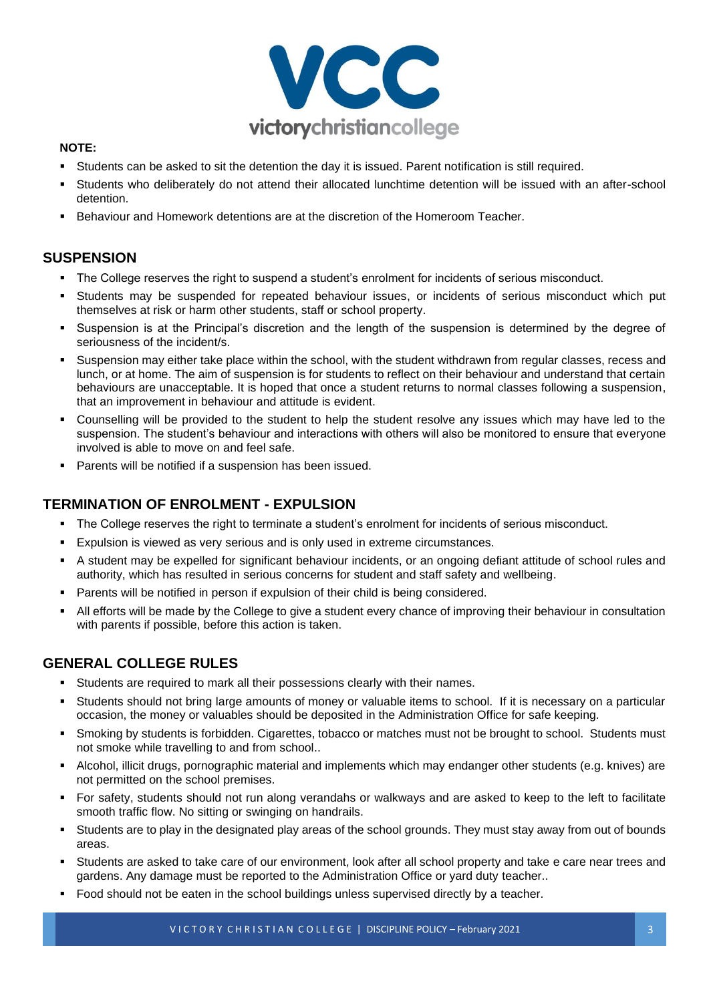

#### **NOTE:**

- Students can be asked to sit the detention the day it is issued. Parent notification is still required.
- Students who deliberately do not attend their allocated lunchtime detention will be issued with an after-school detention.
- Behaviour and Homework detentions are at the discretion of the Homeroom Teacher.

## **SUSPENSION**

- The College reserves the right to suspend a student's enrolment for incidents of serious misconduct.
- Students may be suspended for repeated behaviour issues, or incidents of serious misconduct which put themselves at risk or harm other students, staff or school property.
- Suspension is at the Principal's discretion and the length of the suspension is determined by the degree of seriousness of the incident/s.
- Suspension may either take place within the school, with the student withdrawn from regular classes, recess and lunch, or at home. The aim of suspension is for students to reflect on their behaviour and understand that certain behaviours are unacceptable. It is hoped that once a student returns to normal classes following a suspension, that an improvement in behaviour and attitude is evident.
- Counselling will be provided to the student to help the student resolve any issues which may have led to the suspension. The student's behaviour and interactions with others will also be monitored to ensure that everyone involved is able to move on and feel safe.
- Parents will be notified if a suspension has been issued.

## **TERMINATION OF ENROLMENT - EXPULSION**

- The College reserves the right to terminate a student's enrolment for incidents of serious misconduct.
- Expulsion is viewed as very serious and is only used in extreme circumstances.
- A student may be expelled for significant behaviour incidents, or an ongoing defiant attitude of school rules and authority, which has resulted in serious concerns for student and staff safety and wellbeing.
- Parents will be notified in person if expulsion of their child is being considered.
- All efforts will be made by the College to give a student every chance of improving their behaviour in consultation with parents if possible, before this action is taken.

### **GENERAL COLLEGE RULES**

- **EXECTE Students are required to mark all their possessions clearly with their names.**
- Students should not bring large amounts of money or valuable items to school. If it is necessary on a particular occasion, the money or valuables should be deposited in the Administration Office for safe keeping.
- Smoking by students is forbidden. Cigarettes, tobacco or matches must not be brought to school. Students must not smoke while travelling to and from school..
- Alcohol, illicit drugs, pornographic material and implements which may endanger other students (e.g. knives) are not permitted on the school premises.
- For safety, students should not run along verandahs or walkways and are asked to keep to the left to facilitate smooth traffic flow. No sitting or swinging on handrails.
- Students are to play in the designated play areas of the school grounds. They must stay away from out of bounds areas.
- Students are asked to take care of our environment, look after all school property and take e care near trees and gardens. Any damage must be reported to the Administration Office or yard duty teacher..
- Food should not be eaten in the school buildings unless supervised directly by a teacher.